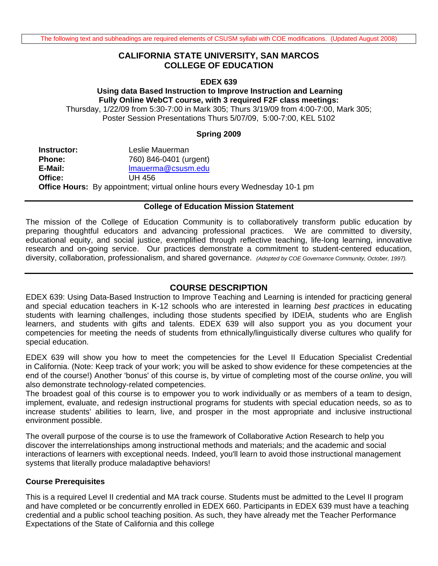### **CALIFORNIA STATE UNIVERSITY, SAN MARCOS COLLEGE OF EDUCATION**

#### **EDEX 639**

# **Using data Based Instruction to Improve Instruction and Learning Fully Online WebCT course, with 3 required F2F class meetings:**

Thursday, 1/22/09 from 5:30-7:00 in Mark 305; Thurs 3/19/09 from 4:00-7:00, Mark 305; Poster Session Presentations Thurs 5/07/09, 5:00-7:00, KEL 5102

#### **Spring 2009**

 **E-Mail:** lmauerma@csusm.edu **Instructor:** Leslie Mauerman **Phone:** 760) 846-0401 (urgent) **Office:** UH 456 **Office Hours:** By appointment; virtual online hours every Wednesday 10-1 pm

#### **College of Education Mission Statement**

The mission of the College of Education Community is to collaboratively transform public education by preparing thoughtful educators and advancing professional practices. We are committed to diversity, educational equity, and social justice, exemplified through reflective teaching, life-long learning, innovative research and on-going service. Our practices demonstrate a commitment to student-centered education, diversity, collaboration, professionalism, and shared governance. *(Adopted by COE Governance Community, October, 1997).* 

### **COURSE DESCRIPTION**

EDEX 639: Using Data-Based Instruction to Improve Teaching and Learning is intended for practicing general and special education teachers in K-12 schools who are interested in learning *best practices* in educating students with learning challenges, including those students specified by IDEIA, students who are English learners, and students with gifts and talents. EDEX 639 will also support you as you document your competencies for meeting the needs of students from ethnically/linguistically diverse cultures who qualify for special education.

EDEX 639 will show you how to meet the competencies for the Level II Education Specialist Credential in California. (Note: Keep track of your work; you will be asked to show evidence for these competencies at the end of the course!) Another 'bonus' of this course is, by virtue of completing most of the course *online*, you will also demonstrate technology-related competencies.

The broadest goal of this course is to empower you to work individually or as members of a team to design, implement, evaluate, and redesign instructional programs for students with special education needs, so as to increase students' abilities to learn, live, and prosper in the most appropriate and inclusive instructional environment possible.

The overall purpose of the course is to use the framework of Collaborative Action Research to help you discover the interrelationships among instructional methods and materials; and the academic and social interactions of learners with exceptional needs. Indeed, you'll learn to avoid those instructional management systems that literally produce maladaptive behaviors!

#### **Course Prerequisites**

This is a required Level II credential and MA track course. Students must be admitted to the Level II program and have completed or be concurrently enrolled in EDEX 660. Participants in EDEX 639 must have a teaching credential and a public school teaching position. As such, they have already met the Teacher Performance Expectations of the State of California and this college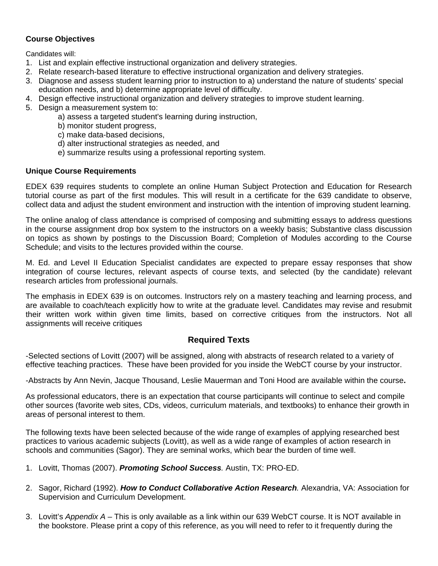## **Course Objectives**

Candidates will:

- 1. List and explain effective instructional organization and delivery strategies.
- 2. Relate research-based literature to effective instructional organization and delivery strategies.
- 3. Diagnose and assess student learning prior to instruction to a) understand the nature of students' special education needs, and b) determine appropriate level of difficulty.
- 4. Design effective instructional organization and delivery strategies to improve student learning.
- 5. Design a measurement system to:
	- a) assess a targeted student's learning during instruction,
	- b) monitor student progress,
	- c) make data-based decisions,
	- d) alter instructional strategies as needed, and
	- e) summarize results using a professional reporting system.

#### **Unique Course Requirements**

EDEX 639 requires students to complete an online Human Subject Protection and Education for Research tutorial course as part of the first modules. This will result in a certificate for the 639 candidate to observe, collect data and adjust the student environment and instruction with the intention of improving student learning.

The online analog of class attendance is comprised of composing and submitting essays to address questions in the course assignment drop box system to the instructors on a weekly basis; Substantive class discussion on topics as shown by postings to the Discussion Board; Completion of Modules according to the Course Schedule; and visits to the lectures provided within the course.

M. Ed. and Level II Education Specialist candidates are expected to prepare essay responses that show integration of course lectures, relevant aspects of course texts, and selected (by the candidate) relevant research articles from professional journals.

The emphasis in EDEX 639 is on outcomes. Instructors rely on a mastery teaching and learning process, and are available to coach/teach explicitly how to write at the graduate level. Candidates may revise and resubmit their written work within given time limits, based on corrective critiques from the instructors. Not all assignments will receive critiques

### **Required Texts**

-Selected sections of Lovitt (2007) will be assigned, along with abstracts of research related to a variety of effective teaching practices. These have been provided for you inside the WebCT course by your instructor.

-Abstracts by Ann Nevin, Jacque Thousand, Leslie Mauerman and Toni Hood are available within the course**.** 

As professional educators, there is an expectation that course participants will continue to select and compile other sources (favorite web sites, CDs, videos, curriculum materials, and textbooks) to enhance their growth in areas of personal interest to them.

The following texts have been selected because of the wide range of examples of applying researched best practices to various academic subjects (Lovitt), as well as a wide range of examples of action research in schools and communities (Sagor). They are seminal works, which bear the burden of time well.

- 1. Lovitt, Thomas (2007). *Promoting School Success.* Austin, TX: PRO-ED.
- 2. Sagor, Richard (1992). *How to Conduct Collaborative Action Research.* Alexandria, VA: Association for Supervision and Curriculum Development.
- 3. Lovitt's *Appendix A* This is only available as a link within our 639 WebCT course. It is NOT available in the bookstore. Please print a copy of this reference, as you will need to refer to it frequently during the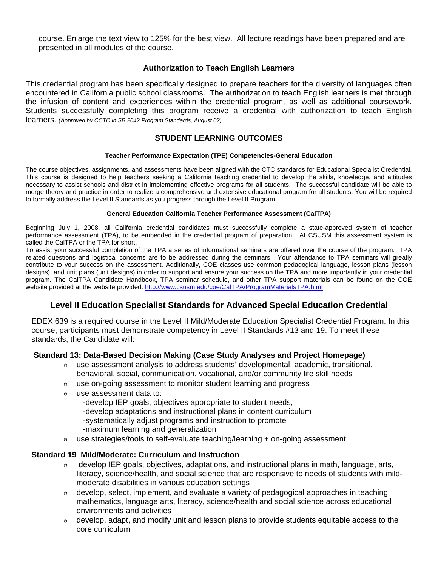course. Enlarge the text view to 125% for the best view. All lecture readings have been prepared and are presented in all modules of the course.

### **Authorization to Teach English Learners**

This credential program has been specifically designed to prepare teachers for the diversity of languages often encountered in California public school classrooms. The authorization to teach English learners is met through the infusion of content and experiences within the credential program, as well as additional coursework. Students successfully completing this program receive a credential with authorization to teach English learners. *(Approved by CCTC in SB 2042 Program Standards, August 02)* 

### **STUDENT LEARNING OUTCOMES**

#### **Teacher Performance Expectation (TPE) Competencies-General Education**

The course objectives, assignments, and assessments have been aligned with the CTC standards for Educational Specialist Credential. This course is designed to help teachers seeking a California teaching credential to develop the skills, knowledge, and attitudes necessary to assist schools and district in implementing effective programs for all students. The successful candidate will be able to merge theory and practice in order to realize a comprehensive and extensive educational program for all students. You will be required to formally address the Level II Standards as you progress through the Level II Program

#### **General Education California Teacher Performance Assessment (CalTPA)**

Beginning July 1, 2008, all California credential candidates must successfully complete a state-approved system of teacher performance assessment (TPA), to be embedded in the credential program of preparation. At CSUSM this assessment system is called the CalTPA or the TPA for short.

website provided at the website provided: http://www.csusm.edu/coe/CalTPA/ProgramMaterialsTPA.html To assist your successful completion of the TPA a series of informational seminars are offered over the course of the program. TPA related questions and logistical concerns are to be addressed during the seminars. Your attendance to TPA seminars will greatly contribute to your success on the assessment. Additionally, COE classes use common pedagogical language, lesson plans (lesson designs), and unit plans (unit designs) in order to support and ensure your success on the TPA and more importantly in your credential program. The CalTPA Candidate Handbook, TPA seminar schedule, and other TPA support materials can be found on the COE

### **Level II Education Specialist Standards for Advanced Special Education Credential**

EDEX 639 is a required course in the Level II Mild/Moderate Education Specialist Credential Program. In this course, participants must demonstrate competency in Level II Standards #13 and 19. To meet these standards, the Candidate will:

#### **Standard 13: Data-Based Decision Making (Case Study Analyses and Project Homepage)**

- $\circ$  use assessment analysis to address students' developmental, academic, transitional, behavioral, social, communication, vocational, and/or community life skill needs
- $\circ$  use on-going assessment to monitor student learning and progress
- o use assessment data to:

-develop IEP goals, objectives appropriate to student needs,

-develop adaptations and instructional plans in content curriculum

-systematically adjust programs and instruction to promote

- -maximum learning and generalization
- $\circ$  use strategies/tools to self-evaluate teaching/learning + on-going assessment

#### **Standard 19 Mild/Moderate: Curriculum and Instruction**

- $\circ$  develop IEP goals, objectives, adaptations, and instructional plans in math, language, arts, literacy, science/health, and social science that are responsive to needs of students with mildmoderate disabilities in various education settings
- $\circ$  develop, select, implement, and evaluate a variety of pedagogical approaches in teaching mathematics, language arts, literacy, science/health and social science across educational environments and activities
- core curriculum  $\circ$  develop, adapt, and modify unit and lesson plans to provide students equitable access to the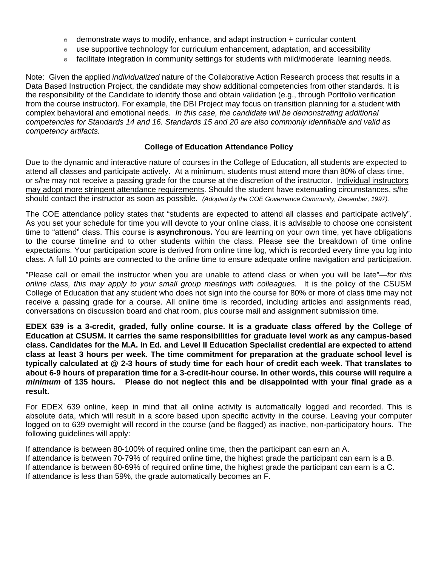- $\circ$  demonstrate ways to modify, enhance, and adapt instruction + curricular content
- $\circ$  use supportive technology for curriculum enhancement, adaptation, and accessibility
- o facilitate integration in community settings for students with mild/moderate learning needs.

Note: Given the applied *individualized* nature of the Collaborative Action Research process that results in a Data Based Instruction Project, the candidate may show additional competencies from other standards. It is the responsibility of the Candidate to identify those and obtain validation (e.g., through Portfolio verification from the course instructor). For example, the DBI Project may focus on transition planning for a student with complex behavioral and emotional needs. *In this case, the candidate will be demonstrating additional competencies for Standards 14 and 16. Standards 15 and 20 are also commonly identifiable and valid as competency artifacts.* 

#### **College of Education Attendance Policy**

 should contact the instructor as soon as possible. *(Adopted by the COE Governance Community, December, 1997).* Due to the dynamic and interactive nature of courses in the College of Education, all students are expected to attend all classes and participate actively. At a minimum, students must attend more than 80% of class time, or s/he may not receive a passing grade for the course at the discretion of the instructor. Individual instructors may adopt more stringent attendance requirements. Should the student have extenuating circumstances, s/he

The COE attendance policy states that "students are expected to attend all classes and participate actively". As you set your schedule for time you will devote to your online class, it is advisable to choose one consistent time to "attend" class. This course is **asynchronous.** You are learning on your own time, yet have obligations to the course timeline and to other students within the class. Please see the breakdown of time online expectations. Your participation score is derived from online time log, which is recorded every time you log into class. A full 10 points are connected to the online time to ensure adequate online navigation and participation.

"Please call or email the instructor when you are unable to attend class or when you will be late"—*for this online class, this may apply to your small group meetings with colleagues.* It is the policy of the CSUSM College of Education that any student who does not sign into the course for 80% or more of class time may not receive a passing grade for a course. All online time is recorded, including articles and assignments read, conversations on discussion board and chat room, plus course mail and assignment submission time.

**EDEX 639 is a 3-credit, graded, fully online course. It is a graduate class offered by the College of Education at CSUSM. It carries the same responsibilities for graduate level work as any campus-based class. Candidates for the M.A. in Ed. and Level II Education Specialist credential are expected to attend class at least 3 hours per week. The time commitment for preparation at the graduate school level is typically calculated at @ 2-3 hours of study time for each hour of credit each week. That translates to about 6-9 hours of preparation time for a 3-credit-hour course. In other words, this course will require a**  *minimum* **of 135 hours. Please do not neglect this and be disappointed with your final grade as a result.** 

For EDEX 639 online, keep in mind that all online activity is automatically logged and recorded. This is absolute data, which will result in a score based upon specific activity in the course. Leaving your computer logged on to 639 overnight will record in the course (and be flagged) as inactive, non-participatory hours. The following guidelines will apply:

If attendance is between 80-100% of required online time, then the participant can earn an A. If attendance is between 70-79% of required online time, the highest grade the participant can earn is a B. If attendance is between 60-69% of required online time, the highest grade the participant can earn is a C. If attendance is less than 59%, the grade automatically becomes an F.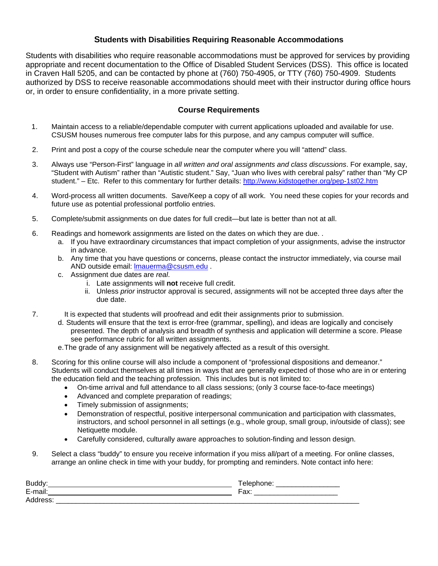### **Students with Disabilities Requiring Reasonable Accommodations**

Students with disabilities who require reasonable accommodations must be approved for services by providing appropriate and recent documentation to the Office of Disabled Student Services (DSS). This office is located in Craven Hall 5205, and can be contacted by phone at (760) 750-4905, or TTY (760) 750-4909. Students authorized by DSS to receive reasonable accommodations should meet with their instructor during office hours or, in order to ensure confidentiality, in a more private setting.

#### **Course Requirements**

- 1. Maintain access to a reliable/dependable computer with current applications uploaded and available for use. CSUSM houses numerous free computer labs for this purpose, and any campus computer will suffice.
- 2. Print and post a copy of the course schedule near the computer where you will "attend" class.
- student." Etc. Refer to this commentary for further details: http://www.kidstogether.org/pep-1st02.htm 3. Always use "Person-First" language in *all written and oral assignments and class discussions*. For example, say, "Student with Autism" rather than "Autistic student." Say, "Juan who lives with cerebral palsy" rather than "My CP
- 4. Word-process all written documents. Save/Keep a copy of all work. You need these copies for your records and future use as potential professional portfolio entries.
- 5. Complete/submit assignments on due dates for full credit—but late is better than not at all.
- 6. Readings and homework assignments are listed on the dates on which they are due. .
	- a. If you have extraordinary circumstances that impact completion of your assignments, advise the instructor in advance.
	- b. Any time that you have questions or concerns, please contact the instructor immediately, via course mail AND outside email: lmauerma@csusm.edu .
	- c. Assignment due dates are *real*.
		- i. Late assignments will **not** receive full credit.
		- ii. Unless *prior* instructor approval is secured, assignments will not be accepted three days after the due date.
- 7. It is expected that students will proofread and edit their assignments prior to submission.
	- d.Students will ensure that the text is error-free (grammar, spelling), and ideas are logically and concisely presented. The depth of analysis and breadth of synthesis and application will determine a score. Please see performance rubric for all written assignments.
	- e.The grade of any assignment will be negatively affected as a result of this oversight.
- 8. Scoring for this online course will also include a component of "professional dispositions and demeanor." Students will conduct themselves at all times in ways that are generally expected of those who are in or entering the education field and the teaching profession. This includes but is not limited to:
	- On-time arrival and full attendance to all class sessions; (only 3 course face-to-face meetings)
	- Advanced and complete preparation of readings;
	- Timely submission of assignments;
	- • Demonstration of respectful, positive interpersonal communication and participation with classmates, instructors, and school personnel in all settings (e.g., whole group, small group, in/outside of class); see Netiquette module.
	- Carefully considered, culturally aware approaches to solution-finding and lesson design.
- 9. Select a class "buddy" to ensure you receive information if you miss all/part of a meeting. For online classes, arrange an online check in time with your buddy, for prompting and reminders. Note contact info here:

| Buddy:           |                                          |
|------------------|------------------------------------------|
| E-ma<br>. .<br>– | $\overline{\phantom{0}}$<br>– ∩v∴<br>av. |
| Ad<br>ᠸᢒᡆ        |                                          |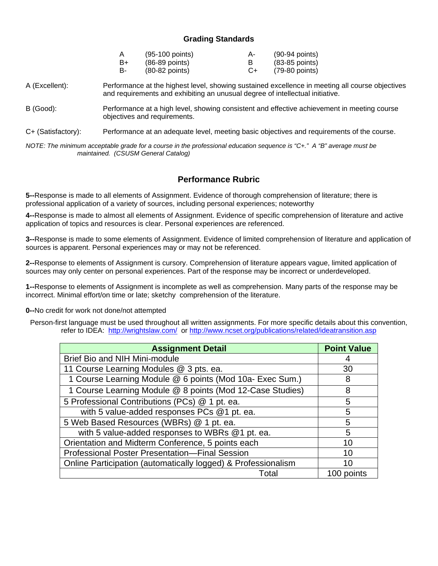### **Grading Standards**

| Α  | (95-100 points)  | А- | $(90-94$ points) |
|----|------------------|----|------------------|
| B+ | (86-89 points)   |    | $(83-85$ points) |
| в- | $(80-82$ points) | C+ | (79-80 points)   |

A (Excellent): Performance at the highest level, showing sustained excellence in meeting all course objectives and requirements and exhibiting an unusual degree of intellectual initiative.

B (Good): Performance at a high level, showing consistent and effective achievement in meeting course objectives and requirements.

C+ (Satisfactory): Performance at an adequate level, meeting basic objectives and requirements of the course.

*NOTE: The minimum acceptable grade for a course in the professional education sequence is "C+." A "B" average must be maintained. (CSUSM General Catalog)* 

### **Performance Rubric**

**5--**Response is made to all elements of Assignment. Evidence of thorough comprehension of literature; there is professional application of a variety of sources, including personal experiences; noteworthy

**4--**Response is made to almost all elements of Assignment. Evidence of specific comprehension of literature and active application of topics and resources is clear. Personal experiences are referenced.

**3--**Response is made to some elements of Assignment. Evidence of limited comprehension of literature and application of sources is apparent. Personal experiences may or may not be referenced.

**2--**Response to elements of Assignment is cursory. Comprehension of literature appears vague, limited application of sources may only center on personal experiences. Part of the response may be incorrect or underdeveloped.

**1--**Response to elements of Assignment is incomplete as well as comprehension. Many parts of the response may be incorrect. Minimal effort/on time or late; sketchy comprehension of the literature.

**0--**No credit for work not done/not attempted

refer to IDEA: http://wrightslaw.com/ or http://www.ncset.org/publications/related/ideatransition.asp Person-first language must be used throughout all written assignments. For more specific details about this convention,

| <b>Assignment Detail</b>                                      | <b>Point Value</b> |
|---------------------------------------------------------------|--------------------|
| Brief Bio and NIH Mini-module                                 |                    |
| 11 Course Learning Modules @ 3 pts. ea.                       | 30                 |
| 1 Course Learning Module @ 6 points (Mod 10a- Exec Sum.)      | 8                  |
| 1 Course Learning Module @ 8 points (Mod 12-Case Studies)     | 8                  |
| 5 Professional Contributions (PCs) @ 1 pt. ea.                | 5                  |
| with 5 value-added responses PCs @1 pt. ea.                   | 5                  |
| 5 Web Based Resources (WBRs) @ 1 pt. ea.                      | 5                  |
| with 5 value-added responses to WBRs @1 pt. ea.               | 5                  |
| Orientation and Midterm Conference, 5 points each             | 10                 |
| Professional Poster Presentation-Final Session                | 10                 |
| Online Participation (automatically logged) & Professionalism | 10                 |
| Total                                                         | 100 points         |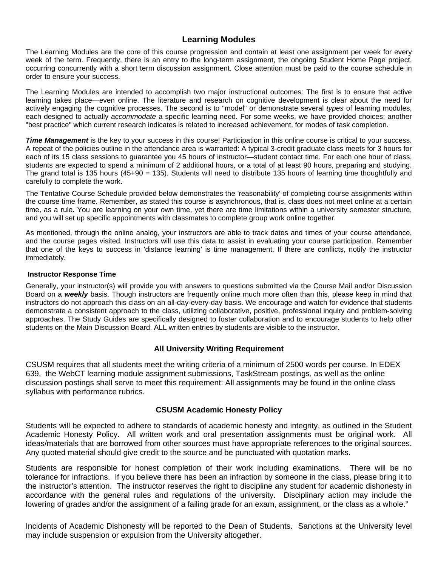## **Learning Modules**

The Learning Modules are the core of this course progression and contain at least one assignment per week for every week of the term. Frequently, there is an entry to the long-term assignment, the ongoing Student Home Page project, occurring concurrently with a short term discussion assignment. Close attention must be paid to the course schedule in order to ensure your success.

The Learning Modules are intended to accomplish two major instructional outcomes: The first is to ensure that active learning takes place—even online. The literature and research on cognitive development is clear about the need for actively engaging the cognitive processes. The second is to "model" or demonstrate several *types* of learning modules, each designed to actually *accommodate* a specific learning need. For some weeks, we have provided choices; another "best practice" which current research indicates is related to increased achievement, for modes of task completion.

**Time Management** is the key to your success in this course! Participation in this online course is critical to your success. A repeat of the policies outline in the attendance area is warranted: A typical 3-credit graduate class meets for 3 hours for each of its 15 class sessions to guarantee you 45 hours of instructor—student contact time. For each one hour of class, students are expected to spend a minimum of 2 additional hours, or a total of at least 90 hours, preparing and studying. The grand total is 135 hours (45+90 = 135). Students will need to distribute 135 hours of learning time thoughtfully and carefully to complete the work.

The Tentative Course Schedule provided below demonstrates the 'reasonability' of completing course assignments within the course time frame. Remember, as stated this course is asynchronous, that is, class does not meet online at a certain time, as a rule. You are learning on your own time, yet there are time limitations within a university semester structure, and you will set up specific appointments with classmates to complete group work online together.

As mentioned, through the online analog, your instructors are able to track dates and times of your course attendance, and the course pages visited. Instructors will use this data to assist in evaluating your course participation. Remember that one of the keys to success in 'distance learning' is time management. If there are conflicts, notify the instructor immediately.

#### **Instructor Response Time**

Generally, your instructor(s) will provide you with answers to questions submitted via the Course Mail and/or Discussion Board on a *weekly* basis. Though instructors are frequently online much more often than this, please keep in mind that instructors do not approach this class on an all-day-every-day basis. We encourage and watch for evidence that students demonstrate a consistent approach to the class, utilizing collaborative, positive, professional inquiry and problem-solving approaches. The Study Guides are specifically designed to foster collaboration and to encourage students to help other students on the Main Discussion Board. ALL written entries by students are visible to the instructor.

### **All University Writing Requirement**

CSUSM requires that all students meet the writing criteria of a minimum of 2500 words per course. In EDEX 639, the WebCT learning module assignment submissions, TaskStream postings, as well as the online discussion postings shall serve to meet this requirement: All assignments may be found in the online class syllabus with performance rubrics.

#### **CSUSM Academic Honesty Policy**

Students will be expected to adhere to standards of academic honesty and integrity, as outlined in the Student Academic Honesty Policy. All written work and oral presentation assignments must be original work. All ideas/materials that are borrowed from other sources must have appropriate references to the original sources. Any quoted material should give credit to the source and be punctuated with quotation marks.

Students are responsible for honest completion of their work including examinations. There will be no tolerance for infractions. If you believe there has been an infraction by someone in the class, please bring it to the instructor's attention. The instructor reserves the right to discipline any student for academic dishonesty in accordance with the general rules and regulations of the university. Disciplinary action may include the lowering of grades and/or the assignment of a failing grade for an exam, assignment, or the class as a whole."

Incidents of Academic Dishonesty will be reported to the Dean of Students. Sanctions at the University level may include suspension or expulsion from the University altogether.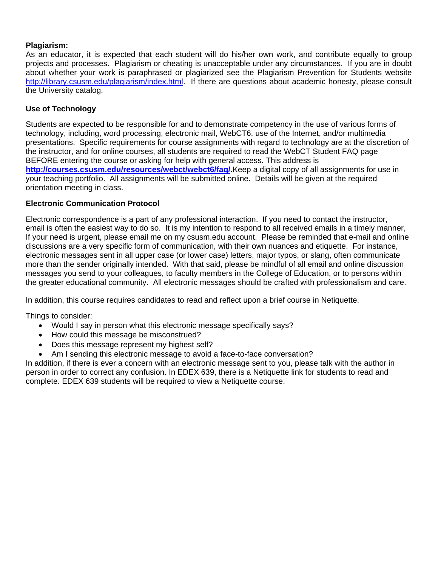## **Plagiarism:**

As an educator, it is expected that each student will do his/her own work, and contribute equally to group projects and processes. Plagiarism or cheating is unacceptable under any circumstances. If you are in doubt about whether your work is paraphrased or plagiarized see the Plagiarism Prevention for Students website http://library.csusm.edu/plagiarism/index.html. If there are questions about academic honesty, please consult the University catalog.

### **Use of Technology**

Students are expected to be responsible for and to demonstrate competency in the use of various forms of technology, including, word processing, electronic mail, WebCT6, use of the Internet, and/or multimedia presentations. Specific requirements for course assignments with regard to technology are at the discretion of the instructor, and for online courses, all students are required to read the WebCT Student FAQ page BEFORE entering the course or asking for help with general access. This address is **http://courses.csusm.edu/resources/webct/webct6/faq/**.Keep a digital copy of all assignments for use in your teaching portfolio. All assignments will be submitted online. Details will be given at the required orientation meeting in class.

### **Electronic Communication Protocol**

Electronic correspondence is a part of any professional interaction. If you need to contact the instructor, email is often the easiest way to do so. It is my intention to respond to all received emails in a timely manner, If your need is urgent, please email me on my csusm.edu account. Please be reminded that e-mail and online discussions are a very specific form of communication, with their own nuances and etiquette. For instance, electronic messages sent in all upper case (or lower case) letters, major typos, or slang, often communicate more than the sender originally intended. With that said, please be mindful of all email and online discussion messages you send to your colleagues, to faculty members in the College of Education, or to persons within the greater educational community. All electronic messages should be crafted with professionalism and care.

In addition, this course requires candidates to read and reflect upon a brief course in Netiquette.

Things to consider:

- Would I say in person what this electronic message specifically says?
- How could this message be misconstrued?
- Does this message represent my highest self?
- Am I sending this electronic message to avoid a face-to-face conversation?

In addition, if there is ever a concern with an electronic message sent to you, please talk with the author in person in order to correct any confusion. In EDEX 639, there is a Netiquette link for students to read and complete. EDEX 639 students will be required to view a Netiquette course.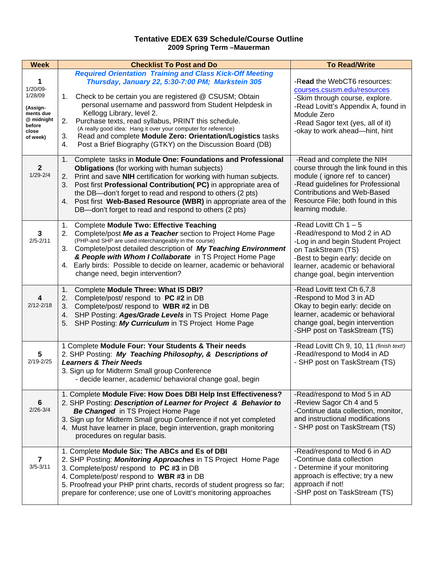#### **Tentative EDEX 639 Schedule/Course Outline 2009 Spring Term –Mauerman**

| <b>Week</b>                                                                                       | <b>Checklist To Post and Do</b>                                                                                                                                                                                                                                                                                                                                                                                                                                                                                                                     | <b>To Read/Write</b>                                                                                                                                                                                                                     |
|---------------------------------------------------------------------------------------------------|-----------------------------------------------------------------------------------------------------------------------------------------------------------------------------------------------------------------------------------------------------------------------------------------------------------------------------------------------------------------------------------------------------------------------------------------------------------------------------------------------------------------------------------------------------|------------------------------------------------------------------------------------------------------------------------------------------------------------------------------------------------------------------------------------------|
| 1<br>$1/20/09 -$<br>1/28/09<br>(Assign-<br>ments due<br>@ midnight<br>before<br>close<br>of week) | <b>Required Orientation Training and Class Kick-Off Meeting</b><br>Thursday, January 22, 5:30-7:00 PM; Markstein 305<br>Check to be certain you are registered @ CSUSM; Obtain<br>1.<br>personal username and password from Student Helpdesk in<br>Kellogg Library, level 2.<br>2.<br>Purchase texts, read syllabus, PRINT this schedule.<br>(A really good idea: Hang it over your computer for reference)<br>Read and complete Module Zero: Orientation/Logistics tasks<br>3.<br>Post a Brief Biography (GTKY) on the Discussion Board (DB)<br>4. | -Read the WebCT6 resources:<br>courses.csusm.edu/resources<br>-Skim through course, explore.<br>-Read Lovitt's Appendix A, found in<br>Module Zero<br>-Read Sagor text (yes, all of it)<br>-okay to work ahead-hint, hint                |
| $\mathbf{2}$<br>$1/29 - 2/4$                                                                      | Complete tasks in Module One: Foundations and Professional<br>1.<br><b>Obligations</b> (for working with human subjects)<br>Print and save NIH certification for working with human subjects.<br>2.<br>Post first Professional Contribution(PC) in appropriate area of<br>3.<br>the DB-don't forget to read and respond to others (2 pts)<br>Post first Web-Based Resource (WBR) in appropriate area of the<br>4.<br>DB-don't forget to read and respond to others (2 pts)                                                                          | -Read and complete the NIH<br>course through the link found in this<br>module (ignore ref to cancer)<br>-Read guidelines for Professional<br><b>Contributions and Web-Based</b><br>Resource File; both found in this<br>learning module. |
| 3<br>$2/5 - 2/11$                                                                                 | <b>Complete Module Two: Effective Teaching</b><br>1.<br>Complete/post Me as a Teacher section to Project Home Page<br>2.<br>(PHP-and SHP are used interchangeably in the course)<br>3. Complete/post detailed description of My Teaching Environment<br>& People with Whom I Collaborate in TS Project Home Page<br>4. Early birds: Possible to decide on learner, academic or behavioral<br>change need, begin intervention?                                                                                                                       | -Read Lovitt Ch $1 - 5$<br>-Read/respond to Mod 2 in AD<br>-Log in and begin Student Project<br>on TaskStream (TS)<br>-Best to begin early: decide on<br>learner, academic or behavioral<br>change goal, begin intervention              |
| $\overline{\mathbf{4}}$<br>$2/12 - 2/18$                                                          | Complete Module Three: What IS DBI?<br>1.<br>2.<br>Complete/post/respond to PC #2 in DB<br>Complete/post/ respond to WBR #2 in DB<br>3.<br>SHP Posting: Ages/Grade Levels in TS Project Home Page<br>4.<br>SHP Posting: My Curriculum in TS Project Home Page<br>5.                                                                                                                                                                                                                                                                                 | -Read Lovitt text Ch 6,7,8<br>-Respond to Mod 3 in AD<br>Okay to begin early: decide on<br>learner, academic or behavioral<br>change goal, begin intervention<br>-SHP post on TaskStream (TS)                                            |
| 5<br>$2/19 - 2/25$                                                                                | 1 Complete Module Four: Your Students & Their needs<br>2. SHP Posting: My Teaching Philosophy, & Descriptions of<br><b>Learners &amp; Their Needs</b><br>3. Sign up for Midterm Small group Conference<br>- decide learner, academic/ behavioral change goal, begin                                                                                                                                                                                                                                                                                 | -Read Lovitt Ch 9, 10, 11 (finish text!)<br>-Read/respond to Mod4 in AD<br>- SHP post on TaskStream (TS)                                                                                                                                 |
| 6<br>$2/26 - 3/4$                                                                                 | 1. Complete Module Five: How Does DBI Help Inst Effectiveness?<br>2. SHP Posting: Description of Learner for Project & Behavior to<br><b>Be Changed</b> in TS Project Home Page<br>3. Sign up for Midterm Small group Conference if not yet completed<br>4. Must have learner in place, begin intervention, graph monitoring<br>procedures on regular basis.                                                                                                                                                                                        | -Read/respond to Mod 5 in AD<br>-Review Sagor Ch 4 and 5<br>-Continue data collection, monitor,<br>and instructional modifications<br>- SHP post on TaskStream (TS)                                                                      |
| $\overline{7}$<br>$3/5 - 3/11$                                                                    | 1. Complete Module Six: The ABCs and Es of DBI<br>2. SHP Posting: Monitoring Approaches in TS Project Home Page<br>3. Complete/post/ respond to PC #3 in DB<br>4. Complete/post/ respond to WBR #3 in DB<br>5. Proofread your PHP print charts, records of student progress so far;<br>prepare for conference; use one of Lovitt's monitoring approaches                                                                                                                                                                                            | -Read/respond to Mod 6 in AD<br>-Continue data collection<br>- Determine if your monitoring<br>approach is effective; try a new<br>approach if not!<br>-SHP post on TaskStream (TS)                                                      |